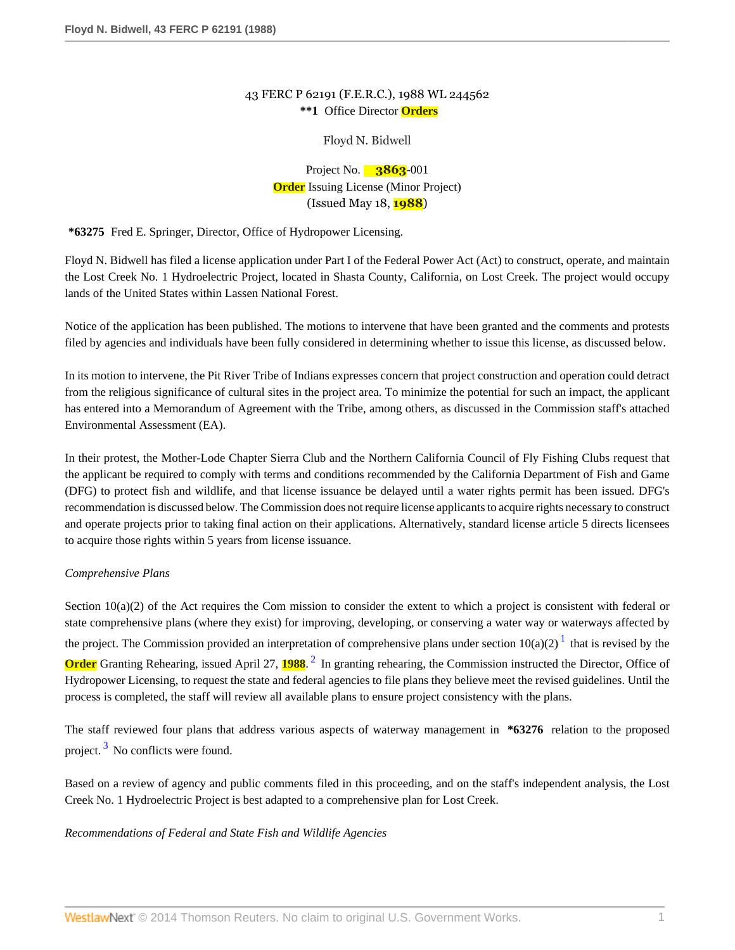## 43 FERC P 62191 (F.E.R.C.), 1988 WL 244562 **\*\*1** Office Director **Orders**

## Floyd N. Bidwell

# Project No. **3863**-001 **Order** Issuing License (Minor Project) (Issued May 18, **1988**)

**\*63275** Fred E. Springer, Director, Office of Hydropower Licensing.

Floyd N. Bidwell has filed a license application under Part I of the Federal Power Act (Act) to construct, operate, and maintain the Lost Creek No. 1 Hydroelectric Project, located in Shasta County, California, on Lost Creek. The project would occupy lands of the United States within Lassen National Forest.

Notice of the application has been published. The motions to intervene that have been granted and the comments and protests filed by agencies and individuals have been fully considered in determining whether to issue this license, as discussed below.

In its motion to intervene, the Pit River Tribe of Indians expresses concern that project construction and operation could detract from the religious significance of cultural sites in the project area. To minimize the potential for such an impact, the applicant has entered into a Memorandum of Agreement with the Tribe, among others, as discussed in the Commission staff's attached Environmental Assessment (EA).

In their protest, the Mother-Lode Chapter Sierra Club and the Northern California Council of Fly Fishing Clubs request that the applicant be required to comply with terms and conditions recommended by the California Department of Fish and Game (DFG) to protect fish and wildlife, and that license issuance be delayed until a water rights permit has been issued. DFG's recommendation is discussed below. The Commission does not require license applicants to acquire rights necessary to construct and operate projects prior to taking final action on their applications. Alternatively, standard license article 5 directs licensees to acquire those rights within 5 years from license issuance.

## *Comprehensive Plans*

<span id="page-0-1"></span><span id="page-0-0"></span>Section  $10(a)(2)$  of the Act requires the Com mission to consider the extent to which a project is consistent with federal or state comprehensive plans (where they exist) for improving, developing, or conserving a water way or waterways affected by the project. The Commission provided an interpretation of comprehensive plans under section  $10(a)(2)^{1}$  $10(a)(2)^{1}$  that is revised by the **Order** Granting Rehearing, issued April [2](#page-20-1)7, 1988.<sup>2</sup> In granting rehearing, the Commission instructed the Director, Office of Hydropower Licensing, to request the state and federal agencies to file plans they believe meet the revised guidelines. Until the process is completed, the staff will review all available plans to ensure project consistency with the plans.

<span id="page-0-2"></span>The staff reviewed four plans that address various aspects of waterway management in **\*63276** relation to the proposed project.<sup>[3](#page-20-2)</sup> No conflicts were found.

Based on a review of agency and public comments filed in this proceeding, and on the staff's independent analysis, the Lost Creek No. 1 Hydroelectric Project is best adapted to a comprehensive plan for Lost Creek.

## *Recommendations of Federal and State Fish and Wildlife Agencies*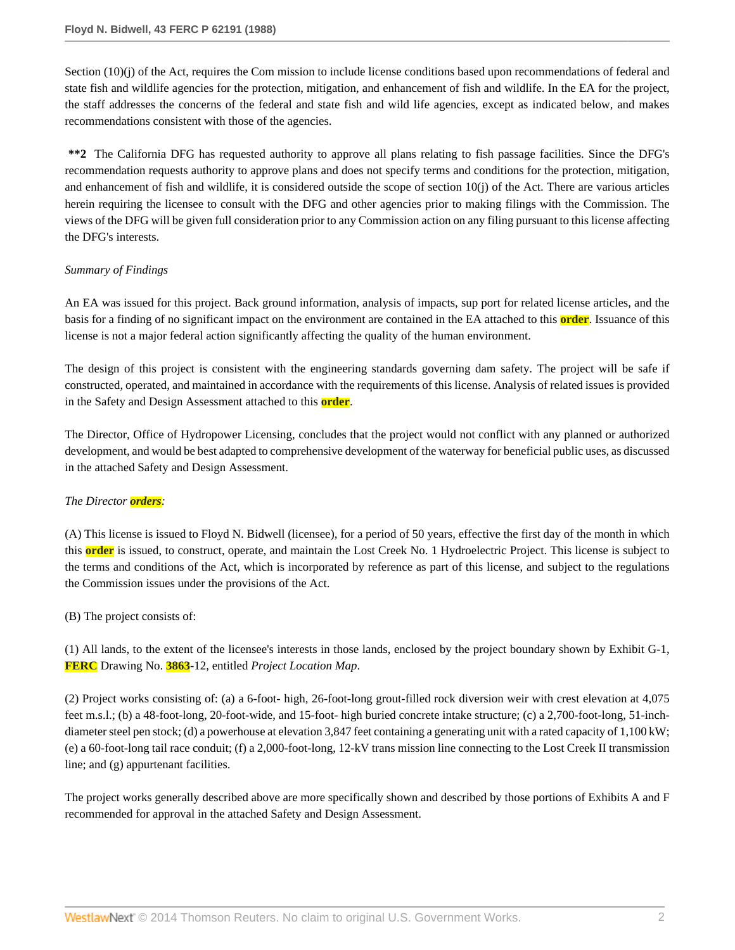Section (10)(j) of the Act, requires the Com mission to include license conditions based upon recommendations of federal and state fish and wildlife agencies for the protection, mitigation, and enhancement of fish and wildlife. In the EA for the project, the staff addresses the concerns of the federal and state fish and wild life agencies, except as indicated below, and makes recommendations consistent with those of the agencies.

**\*\*2** The California DFG has requested authority to approve all plans relating to fish passage facilities. Since the DFG's recommendation requests authority to approve plans and does not specify terms and conditions for the protection, mitigation, and enhancement of fish and wildlife, it is considered outside the scope of section  $10(i)$  of the Act. There are various articles herein requiring the licensee to consult with the DFG and other agencies prior to making filings with the Commission. The views of the DFG will be given full consideration prior to any Commission action on any filing pursuant to this license affecting the DFG's interests.

### *Summary of Findings*

An EA was issued for this project. Back ground information, analysis of impacts, sup port for related license articles, and the basis for a finding of no significant impact on the environment are contained in the EA attached to this **order**. Issuance of this license is not a major federal action significantly affecting the quality of the human environment.

The design of this project is consistent with the engineering standards governing dam safety. The project will be safe if constructed, operated, and maintained in accordance with the requirements of this license. Analysis of related issues is provided in the Safety and Design Assessment attached to this **order**.

The Director, Office of Hydropower Licensing, concludes that the project would not conflict with any planned or authorized development, and would be best adapted to comprehensive development of the waterway for beneficial public uses, as discussed in the attached Safety and Design Assessment.

## *The Director orders:*

(A) This license is issued to Floyd N. Bidwell (licensee), for a period of 50 years, effective the first day of the month in which this **order** is issued, to construct, operate, and maintain the Lost Creek No. 1 Hydroelectric Project. This license is subject to the terms and conditions of the Act, which is incorporated by reference as part of this license, and subject to the regulations the Commission issues under the provisions of the Act.

(B) The project consists of:

(1) All lands, to the extent of the licensee's interests in those lands, enclosed by the project boundary shown by Exhibit G-1, **FERC** Drawing No. **3863**-12, entitled *Project Location Map*.

(2) Project works consisting of: (a) a 6-foot- high, 26-foot-long grout-filled rock diversion weir with crest elevation at 4,075 feet m.s.l.; (b) a 48-foot-long, 20-foot-wide, and 15-foot- high buried concrete intake structure; (c) a 2,700-foot-long, 51-inchdiameter steel pen stock; (d) a powerhouse at elevation 3,847 feet containing a generating unit with a rated capacity of 1,100 kW; (e) a 60-foot-long tail race conduit; (f) a 2,000-foot-long, 12-kV trans mission line connecting to the Lost Creek II transmission line; and (g) appurtenant facilities.

The project works generally described above are more specifically shown and described by those portions of Exhibits A and F recommended for approval in the attached Safety and Design Assessment.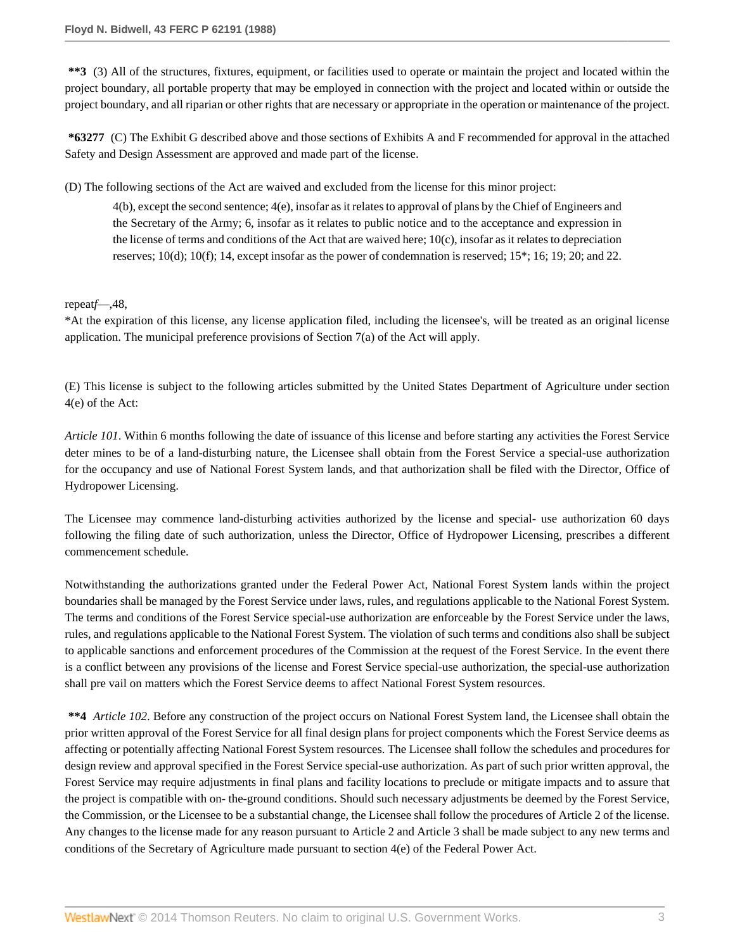**\*\*3** (3) All of the structures, fixtures, equipment, or facilities used to operate or maintain the project and located within the project boundary, all portable property that may be employed in connection with the project and located within or outside the project boundary, and all riparian or other rights that are necessary or appropriate in the operation or maintenance of the project.

**\*63277** (C) The Exhibit G described above and those sections of Exhibits A and F recommended for approval in the attached Safety and Design Assessment are approved and made part of the license.

(D) The following sections of the Act are waived and excluded from the license for this minor project:

4(b), except the second sentence; 4(e), insofar as it relates to approval of plans by the Chief of Engineers and the Secretary of the Army; 6, insofar as it relates to public notice and to the acceptance and expression in the license of terms and conditions of the Act that are waived here;  $10(c)$ , insofar as it relates to depreciation reserves; 10(d); 10(f); 14, except insofar as the power of condemnation is reserved; 15\*; 16; 19; 20; and 22.

## repeat*f*—,48,

\*At the expiration of this license, any license application filed, including the licensee's, will be treated as an original license application. The municipal preference provisions of Section 7(a) of the Act will apply.

(E) This license is subject to the following articles submitted by the United States Department of Agriculture under section 4(e) of the Act:

*Article 101*. Within 6 months following the date of issuance of this license and before starting any activities the Forest Service deter mines to be of a land-disturbing nature, the Licensee shall obtain from the Forest Service a special-use authorization for the occupancy and use of National Forest System lands, and that authorization shall be filed with the Director, Office of Hydropower Licensing.

The Licensee may commence land-disturbing activities authorized by the license and special- use authorization 60 days following the filing date of such authorization, unless the Director, Office of Hydropower Licensing, prescribes a different commencement schedule.

Notwithstanding the authorizations granted under the Federal Power Act, National Forest System lands within the project boundaries shall be managed by the Forest Service under laws, rules, and regulations applicable to the National Forest System. The terms and conditions of the Forest Service special-use authorization are enforceable by the Forest Service under the laws, rules, and regulations applicable to the National Forest System. The violation of such terms and conditions also shall be subject to applicable sanctions and enforcement procedures of the Commission at the request of the Forest Service. In the event there is a conflict between any provisions of the license and Forest Service special-use authorization, the special-use authorization shall pre vail on matters which the Forest Service deems to affect National Forest System resources.

**\*\*4** *Article 102*. Before any construction of the project occurs on National Forest System land, the Licensee shall obtain the prior written approval of the Forest Service for all final design plans for project components which the Forest Service deems as affecting or potentially affecting National Forest System resources. The Licensee shall follow the schedules and procedures for design review and approval specified in the Forest Service special-use authorization. As part of such prior written approval, the Forest Service may require adjustments in final plans and facility locations to preclude or mitigate impacts and to assure that the project is compatible with on- the-ground conditions. Should such necessary adjustments be deemed by the Forest Service, the Commission, or the Licensee to be a substantial change, the Licensee shall follow the procedures of Article 2 of the license. Any changes to the license made for any reason pursuant to Article 2 and Article 3 shall be made subject to any new terms and conditions of the Secretary of Agriculture made pursuant to section 4(e) of the Federal Power Act.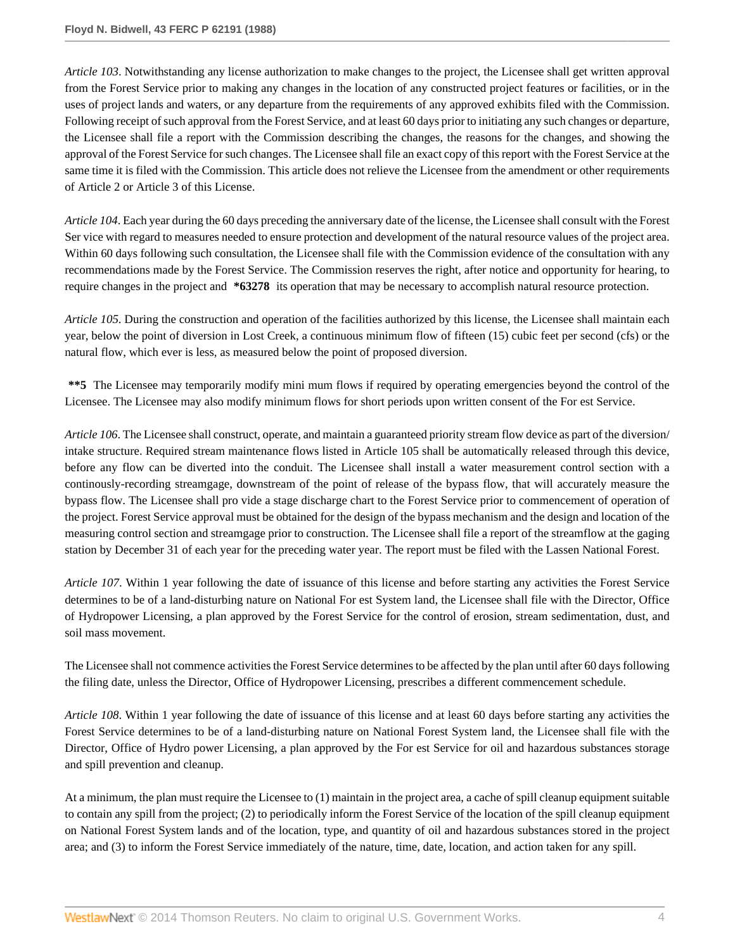*Article 103*. Notwithstanding any license authorization to make changes to the project, the Licensee shall get written approval from the Forest Service prior to making any changes in the location of any constructed project features or facilities, or in the uses of project lands and waters, or any departure from the requirements of any approved exhibits filed with the Commission. Following receipt of such approval from the Forest Service, and at least 60 days prior to initiating any such changes or departure, the Licensee shall file a report with the Commission describing the changes, the reasons for the changes, and showing the approval of the Forest Service for such changes. The Licensee shall file an exact copy of this report with the Forest Service at the same time it is filed with the Commission. This article does not relieve the Licensee from the amendment or other requirements of Article 2 or Article 3 of this License.

*Article 104*. Each year during the 60 days preceding the anniversary date of the license, the Licensee shall consult with the Forest Ser vice with regard to measures needed to ensure protection and development of the natural resource values of the project area. Within 60 days following such consultation, the Licensee shall file with the Commission evidence of the consultation with any recommendations made by the Forest Service. The Commission reserves the right, after notice and opportunity for hearing, to require changes in the project and **\*63278** its operation that may be necessary to accomplish natural resource protection.

*Article 105*. During the construction and operation of the facilities authorized by this license, the Licensee shall maintain each year, below the point of diversion in Lost Creek, a continuous minimum flow of fifteen (15) cubic feet per second (cfs) or the natural flow, which ever is less, as measured below the point of proposed diversion.

**\*\*5** The Licensee may temporarily modify mini mum flows if required by operating emergencies beyond the control of the Licensee. The Licensee may also modify minimum flows for short periods upon written consent of the For est Service.

*Article 106*. The Licensee shall construct, operate, and maintain a guaranteed priority stream flow device as part of the diversion/ intake structure. Required stream maintenance flows listed in Article 105 shall be automatically released through this device, before any flow can be diverted into the conduit. The Licensee shall install a water measurement control section with a continously-recording streamgage, downstream of the point of release of the bypass flow, that will accurately measure the bypass flow. The Licensee shall pro vide a stage discharge chart to the Forest Service prior to commencement of operation of the project. Forest Service approval must be obtained for the design of the bypass mechanism and the design and location of the measuring control section and streamgage prior to construction. The Licensee shall file a report of the streamflow at the gaging station by December 31 of each year for the preceding water year. The report must be filed with the Lassen National Forest.

*Article 107*. Within 1 year following the date of issuance of this license and before starting any activities the Forest Service determines to be of a land-disturbing nature on National For est System land, the Licensee shall file with the Director, Office of Hydropower Licensing, a plan approved by the Forest Service for the control of erosion, stream sedimentation, dust, and soil mass movement.

The Licensee shall not commence activities the Forest Service determines to be affected by the plan until after 60 days following the filing date, unless the Director, Office of Hydropower Licensing, prescribes a different commencement schedule.

*Article 108*. Within 1 year following the date of issuance of this license and at least 60 days before starting any activities the Forest Service determines to be of a land-disturbing nature on National Forest System land, the Licensee shall file with the Director, Office of Hydro power Licensing, a plan approved by the For est Service for oil and hazardous substances storage and spill prevention and cleanup.

At a minimum, the plan must require the Licensee to (1) maintain in the project area, a cache of spill cleanup equipment suitable to contain any spill from the project; (2) to periodically inform the Forest Service of the location of the spill cleanup equipment on National Forest System lands and of the location, type, and quantity of oil and hazardous substances stored in the project area; and (3) to inform the Forest Service immediately of the nature, time, date, location, and action taken for any spill.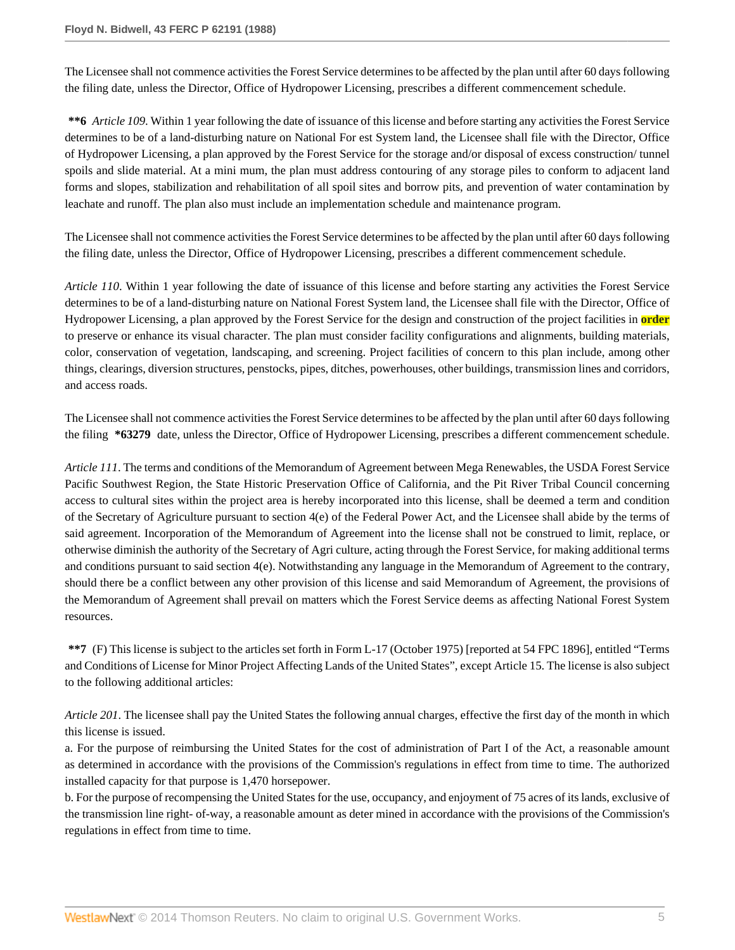The Licensee shall not commence activities the Forest Service determines to be affected by the plan until after 60 days following the filing date, unless the Director, Office of Hydropower Licensing, prescribes a different commencement schedule.

**\*\*6** *Article 109*. Within 1 year following the date of issuance of this license and before starting any activities the Forest Service determines to be of a land-disturbing nature on National For est System land, the Licensee shall file with the Director, Office of Hydropower Licensing, a plan approved by the Forest Service for the storage and/or disposal of excess construction/ tunnel spoils and slide material. At a mini mum, the plan must address contouring of any storage piles to conform to adjacent land forms and slopes, stabilization and rehabilitation of all spoil sites and borrow pits, and prevention of water contamination by leachate and runoff. The plan also must include an implementation schedule and maintenance program.

The Licensee shall not commence activities the Forest Service determines to be affected by the plan until after 60 days following the filing date, unless the Director, Office of Hydropower Licensing, prescribes a different commencement schedule.

*Article 110*. Within 1 year following the date of issuance of this license and before starting any activities the Forest Service determines to be of a land-disturbing nature on National Forest System land, the Licensee shall file with the Director, Office of Hydropower Licensing, a plan approved by the Forest Service for the design and construction of the project facilities in **order** to preserve or enhance its visual character. The plan must consider facility configurations and alignments, building materials, color, conservation of vegetation, landscaping, and screening. Project facilities of concern to this plan include, among other things, clearings, diversion structures, penstocks, pipes, ditches, powerhouses, other buildings, transmission lines and corridors, and access roads.

The Licensee shall not commence activities the Forest Service determines to be affected by the plan until after 60 days following the filing **\*63279** date, unless the Director, Office of Hydropower Licensing, prescribes a different commencement schedule.

*Article 111*. The terms and conditions of the Memorandum of Agreement between Mega Renewables, the USDA Forest Service Pacific Southwest Region, the State Historic Preservation Office of California, and the Pit River Tribal Council concerning access to cultural sites within the project area is hereby incorporated into this license, shall be deemed a term and condition of the Secretary of Agriculture pursuant to section  $4(e)$  of the Federal Power Act, and the Licensee shall abide by the terms of said agreement. Incorporation of the Memorandum of Agreement into the license shall not be construed to limit, replace, or otherwise diminish the authority of the Secretary of Agri culture, acting through the Forest Service, for making additional terms and conditions pursuant to said section 4(e). Notwithstanding any language in the Memorandum of Agreement to the contrary, should there be a conflict between any other provision of this license and said Memorandum of Agreement, the provisions of the Memorandum of Agreement shall prevail on matters which the Forest Service deems as affecting National Forest System resources.

**\*\*7** (F) This license is subject to the articles set forth in Form L-17 (October 1975) [reported at 54 FPC 1896], entitled "Terms and Conditions of License for Minor Project Affecting Lands of the United States", except Article 15. The license is also subject to the following additional articles:

*Article 201*. The licensee shall pay the United States the following annual charges, effective the first day of the month in which this license is issued.

a. For the purpose of reimbursing the United States for the cost of administration of Part I of the Act, a reasonable amount as determined in accordance with the provisions of the Commission's regulations in effect from time to time. The authorized installed capacity for that purpose is 1,470 horsepower.

b. For the purpose of recompensing the United States for the use, occupancy, and enjoyment of 75 acres of its lands, exclusive of the transmission line right- of-way, a reasonable amount as deter mined in accordance with the provisions of the Commission's regulations in effect from time to time.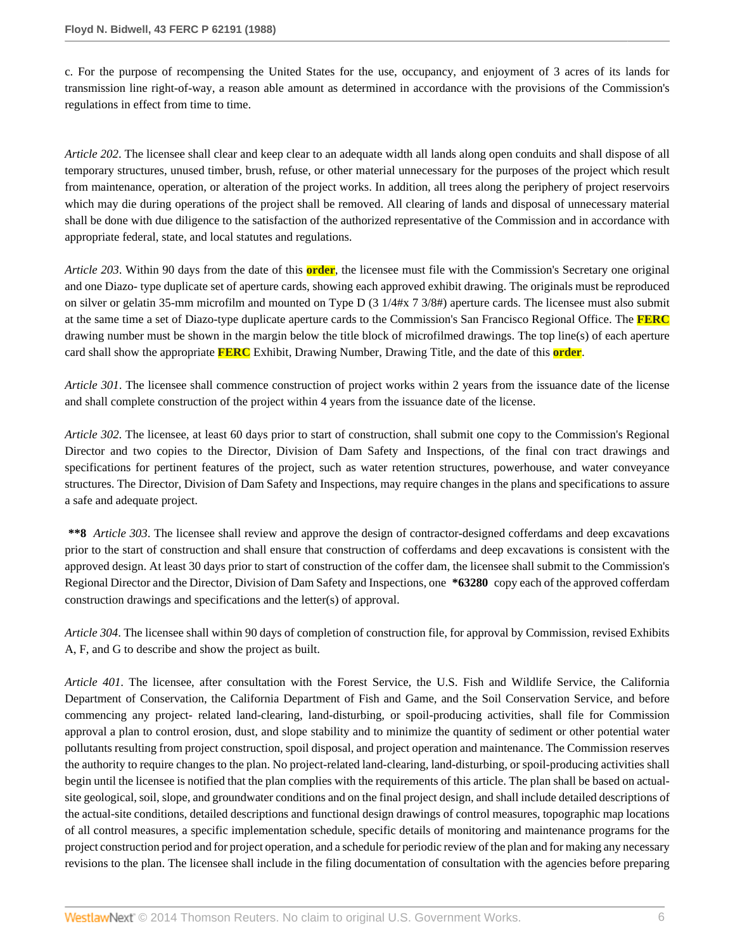c. For the purpose of recompensing the United States for the use, occupancy, and enjoyment of 3 acres of its lands for transmission line right-of-way, a reason able amount as determined in accordance with the provisions of the Commission's regulations in effect from time to time.

*Article 202*. The licensee shall clear and keep clear to an adequate width all lands along open conduits and shall dispose of all temporary structures, unused timber, brush, refuse, or other material unnecessary for the purposes of the project which result from maintenance, operation, or alteration of the project works. In addition, all trees along the periphery of project reservoirs which may die during operations of the project shall be removed. All clearing of lands and disposal of unnecessary material shall be done with due diligence to the satisfaction of the authorized representative of the Commission and in accordance with appropriate federal, state, and local statutes and regulations.

*Article 203*. Within 90 days from the date of this **order**, the licensee must file with the Commission's Secretary one original and one Diazo- type duplicate set of aperture cards, showing each approved exhibit drawing. The originals must be reproduced on silver or gelatin 35-mm microfilm and mounted on Type D (3 1/4#x 7 3/8#) aperture cards. The licensee must also submit at the same time a set of Diazo-type duplicate aperture cards to the Commission's San Francisco Regional Office. The **FERC** drawing number must be shown in the margin below the title block of microfilmed drawings. The top line(s) of each aperture card shall show the appropriate **FERC** Exhibit, Drawing Number, Drawing Title, and the date of this **order**.

*Article 301*. The licensee shall commence construction of project works within 2 years from the issuance date of the license and shall complete construction of the project within 4 years from the issuance date of the license.

*Article 302*. The licensee, at least 60 days prior to start of construction, shall submit one copy to the Commission's Regional Director and two copies to the Director, Division of Dam Safety and Inspections, of the final con tract drawings and specifications for pertinent features of the project, such as water retention structures, powerhouse, and water conveyance structures. The Director, Division of Dam Safety and Inspections, may require changes in the plans and specifications to assure a safe and adequate project.

**\*\*8** *Article 303*. The licensee shall review and approve the design of contractor-designed cofferdams and deep excavations prior to the start of construction and shall ensure that construction of cofferdams and deep excavations is consistent with the approved design. At least 30 days prior to start of construction of the coffer dam, the licensee shall submit to the Commission's Regional Director and the Director, Division of Dam Safety and Inspections, one **\*63280** copy each of the approved cofferdam construction drawings and specifications and the letter(s) of approval.

*Article 304*. The licensee shall within 90 days of completion of construction file, for approval by Commission, revised Exhibits A, F, and G to describe and show the project as built.

*Article 401*. The licensee, after consultation with the Forest Service, the U.S. Fish and Wildlife Service, the California Department of Conservation, the California Department of Fish and Game, and the Soil Conservation Service, and before commencing any project- related land-clearing, land-disturbing, or spoil-producing activities, shall file for Commission approval a plan to control erosion, dust, and slope stability and to minimize the quantity of sediment or other potential water pollutants resulting from project construction, spoil disposal, and project operation and maintenance. The Commission reserves the authority to require changes to the plan. No project-related land-clearing, land-disturbing, or spoil-producing activities shall begin until the licensee is notified that the plan complies with the requirements of this article. The plan shall be based on actualsite geological, soil, slope, and groundwater conditions and on the final project design, and shall include detailed descriptions of the actual-site conditions, detailed descriptions and functional design drawings of control measures, topographic map locations of all control measures, a specific implementation schedule, specific details of monitoring and maintenance programs for the project construction period and for project operation, and a schedule for periodic review of the plan and for making any necessary revisions to the plan. The licensee shall include in the filing documentation of consultation with the agencies before preparing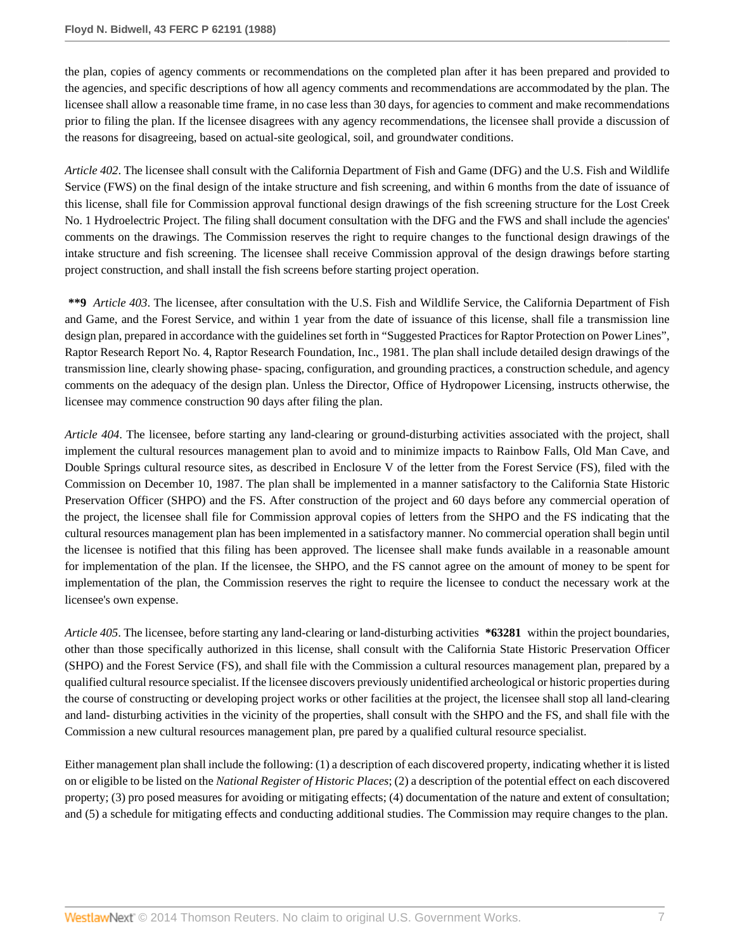the plan, copies of agency comments or recommendations on the completed plan after it has been prepared and provided to the agencies, and specific descriptions of how all agency comments and recommendations are accommodated by the plan. The licensee shall allow a reasonable time frame, in no case less than 30 days, for agencies to comment and make recommendations prior to filing the plan. If the licensee disagrees with any agency recommendations, the licensee shall provide a discussion of the reasons for disagreeing, based on actual-site geological, soil, and groundwater conditions.

*Article 402*. The licensee shall consult with the California Department of Fish and Game (DFG) and the U.S. Fish and Wildlife Service (FWS) on the final design of the intake structure and fish screening, and within 6 months from the date of issuance of this license, shall file for Commission approval functional design drawings of the fish screening structure for the Lost Creek No. 1 Hydroelectric Project. The filing shall document consultation with the DFG and the FWS and shall include the agencies' comments on the drawings. The Commission reserves the right to require changes to the functional design drawings of the intake structure and fish screening. The licensee shall receive Commission approval of the design drawings before starting project construction, and shall install the fish screens before starting project operation.

**\*\*9** *Article 403*. The licensee, after consultation with the U.S. Fish and Wildlife Service, the California Department of Fish and Game, and the Forest Service, and within 1 year from the date of issuance of this license, shall file a transmission line design plan, prepared in accordance with the guidelines set forth in "Suggested Practices for Raptor Protection on Power Lines", Raptor Research Report No. 4, Raptor Research Foundation, Inc., 1981. The plan shall include detailed design drawings of the transmission line, clearly showing phase- spacing, configuration, and grounding practices, a construction schedule, and agency comments on the adequacy of the design plan. Unless the Director, Office of Hydropower Licensing, instructs otherwise, the licensee may commence construction 90 days after filing the plan.

*Article 404*. The licensee, before starting any land-clearing or ground-disturbing activities associated with the project, shall implement the cultural resources management plan to avoid and to minimize impacts to Rainbow Falls, Old Man Cave, and Double Springs cultural resource sites, as described in Enclosure V of the letter from the Forest Service (FS), filed with the Commission on December 10, 1987. The plan shall be implemented in a manner satisfactory to the California State Historic Preservation Officer (SHPO) and the FS. After construction of the project and 60 days before any commercial operation of the project, the licensee shall file for Commission approval copies of letters from the SHPO and the FS indicating that the cultural resources management plan has been implemented in a satisfactory manner. No commercial operation shall begin until the licensee is notified that this filing has been approved. The licensee shall make funds available in a reasonable amount for implementation of the plan. If the licensee, the SHPO, and the FS cannot agree on the amount of money to be spent for implementation of the plan, the Commission reserves the right to require the licensee to conduct the necessary work at the licensee's own expense.

*Article 405*. The licensee, before starting any land-clearing or land-disturbing activities **\*63281** within the project boundaries, other than those specifically authorized in this license, shall consult with the California State Historic Preservation Officer (SHPO) and the Forest Service (FS), and shall file with the Commission a cultural resources management plan, prepared by a qualified cultural resource specialist. If the licensee discovers previously unidentified archeological or historic properties during the course of constructing or developing project works or other facilities at the project, the licensee shall stop all land-clearing and land- disturbing activities in the vicinity of the properties, shall consult with the SHPO and the FS, and shall file with the Commission a new cultural resources management plan, pre pared by a qualified cultural resource specialist.

Either management plan shall include the following: (1) a description of each discovered property, indicating whether it is listed on or eligible to be listed on the *National Register of Historic Places*; (2) a description of the potential effect on each discovered property; (3) pro posed measures for avoiding or mitigating effects; (4) documentation of the nature and extent of consultation; and (5) a schedule for mitigating effects and conducting additional studies. The Commission may require changes to the plan.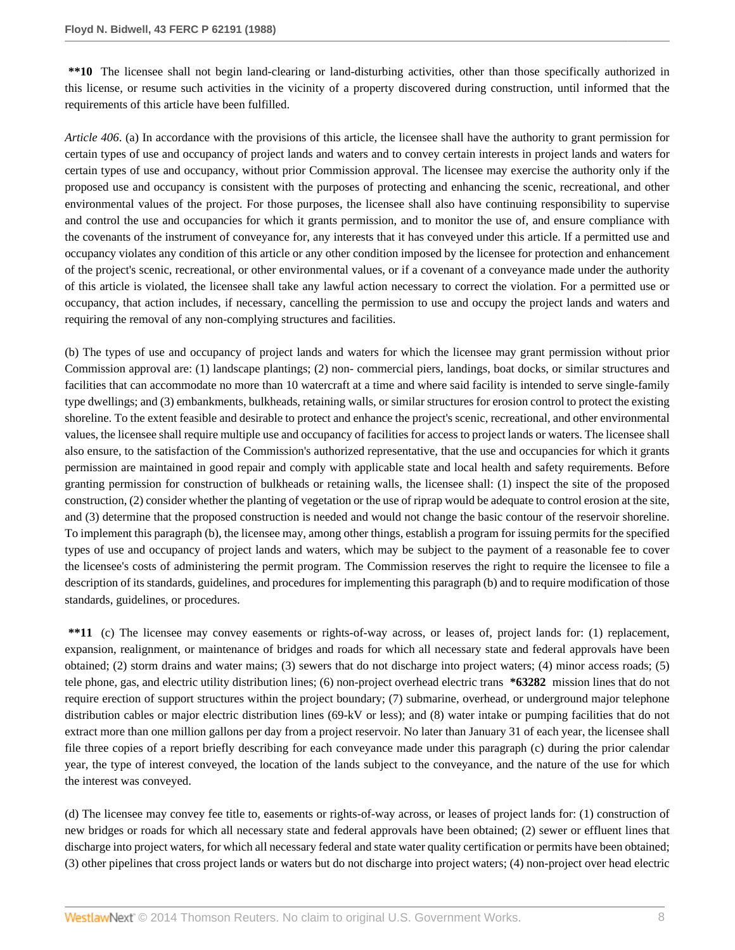**\*\*10** The licensee shall not begin land-clearing or land-disturbing activities, other than those specifically authorized in this license, or resume such activities in the vicinity of a property discovered during construction, until informed that the requirements of this article have been fulfilled.

*Article 406*. (a) In accordance with the provisions of this article, the licensee shall have the authority to grant permission for certain types of use and occupancy of project lands and waters and to convey certain interests in project lands and waters for certain types of use and occupancy, without prior Commission approval. The licensee may exercise the authority only if the proposed use and occupancy is consistent with the purposes of protecting and enhancing the scenic, recreational, and other environmental values of the project. For those purposes, the licensee shall also have continuing responsibility to supervise and control the use and occupancies for which it grants permission, and to monitor the use of, and ensure compliance with the covenants of the instrument of conveyance for, any interests that it has conveyed under this article. If a permitted use and occupancy violates any condition of this article or any other condition imposed by the licensee for protection and enhancement of the project's scenic, recreational, or other environmental values, or if a covenant of a conveyance made under the authority of this article is violated, the licensee shall take any lawful action necessary to correct the violation. For a permitted use or occupancy, that action includes, if necessary, cancelling the permission to use and occupy the project lands and waters and requiring the removal of any non-complying structures and facilities.

(b) The types of use and occupancy of project lands and waters for which the licensee may grant permission without prior Commission approval are: (1) landscape plantings; (2) non- commercial piers, landings, boat docks, or similar structures and facilities that can accommodate no more than 10 watercraft at a time and where said facility is intended to serve single-family type dwellings; and (3) embankments, bulkheads, retaining walls, or similar structures for erosion control to protect the existing shoreline. To the extent feasible and desirable to protect and enhance the project's scenic, recreational, and other environmental values, the licensee shall require multiple use and occupancy of facilities for access to project lands or waters. The licensee shall also ensure, to the satisfaction of the Commission's authorized representative, that the use and occupancies for which it grants permission are maintained in good repair and comply with applicable state and local health and safety requirements. Before granting permission for construction of bulkheads or retaining walls, the licensee shall: (1) inspect the site of the proposed construction, (2) consider whether the planting of vegetation or the use of riprap would be adequate to control erosion at the site, and (3) determine that the proposed construction is needed and would not change the basic contour of the reservoir shoreline. To implement this paragraph (b), the licensee may, among other things, establish a program for issuing permits for the specified types of use and occupancy of project lands and waters, which may be subject to the payment of a reasonable fee to cover the licensee's costs of administering the permit program. The Commission reserves the right to require the licensee to file a description of its standards, guidelines, and procedures for implementing this paragraph (b) and to require modification of those standards, guidelines, or procedures.

**\*\*11** (c) The licensee may convey easements or rights-of-way across, or leases of, project lands for: (1) replacement, expansion, realignment, or maintenance of bridges and roads for which all necessary state and federal approvals have been obtained; (2) storm drains and water mains; (3) sewers that do not discharge into project waters; (4) minor access roads; (5) tele phone, gas, and electric utility distribution lines; (6) non-project overhead electric trans **\*63282** mission lines that do not require erection of support structures within the project boundary; (7) submarine, overhead, or underground major telephone distribution cables or major electric distribution lines (69-kV or less); and (8) water intake or pumping facilities that do not extract more than one million gallons per day from a project reservoir. No later than January 31 of each year, the licensee shall file three copies of a report briefly describing for each conveyance made under this paragraph (c) during the prior calendar year, the type of interest conveyed, the location of the lands subject to the conveyance, and the nature of the use for which the interest was conveyed.

(d) The licensee may convey fee title to, easements or rights-of-way across, or leases of project lands for: (1) construction of new bridges or roads for which all necessary state and federal approvals have been obtained; (2) sewer or effluent lines that discharge into project waters, for which all necessary federal and state water quality certification or permits have been obtained; (3) other pipelines that cross project lands or waters but do not discharge into project waters; (4) non-project over head electric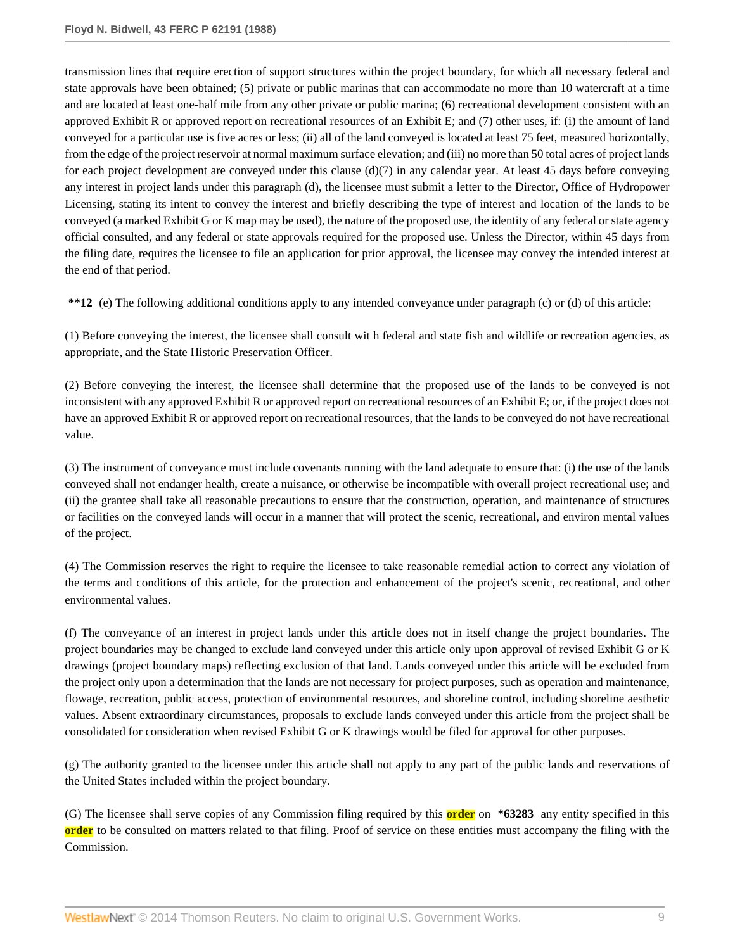transmission lines that require erection of support structures within the project boundary, for which all necessary federal and state approvals have been obtained; (5) private or public marinas that can accommodate no more than 10 watercraft at a time and are located at least one-half mile from any other private or public marina; (6) recreational development consistent with an approved Exhibit R or approved report on recreational resources of an Exhibit E; and (7) other uses, if: (i) the amount of land conveyed for a particular use is five acres or less; (ii) all of the land conveyed is located at least 75 feet, measured horizontally, from the edge of the project reservoir at normal maximum surface elevation; and (iii) no more than 50 total acres of project lands for each project development are conveyed under this clause  $(d)(7)$  in any calendar year. At least 45 days before conveying any interest in project lands under this paragraph (d), the licensee must submit a letter to the Director, Office of Hydropower Licensing, stating its intent to convey the interest and briefly describing the type of interest and location of the lands to be conveyed (a marked Exhibit G or K map may be used), the nature of the proposed use, the identity of any federal or state agency official consulted, and any federal or state approvals required for the proposed use. Unless the Director, within 45 days from the filing date, requires the licensee to file an application for prior approval, the licensee may convey the intended interest at the end of that period.

**\*\*12** (e) The following additional conditions apply to any intended conveyance under paragraph (c) or (d) of this article:

(1) Before conveying the interest, the licensee shall consult wit h federal and state fish and wildlife or recreation agencies, as appropriate, and the State Historic Preservation Officer.

(2) Before conveying the interest, the licensee shall determine that the proposed use of the lands to be conveyed is not inconsistent with any approved Exhibit R or approved report on recreational resources of an Exhibit E; or, if the project does not have an approved Exhibit R or approved report on recreational resources, that the lands to be conveyed do not have recreational value.

(3) The instrument of conveyance must include covenants running with the land adequate to ensure that: (i) the use of the lands conveyed shall not endanger health, create a nuisance, or otherwise be incompatible with overall project recreational use; and (ii) the grantee shall take all reasonable precautions to ensure that the construction, operation, and maintenance of structures or facilities on the conveyed lands will occur in a manner that will protect the scenic, recreational, and environ mental values of the project.

(4) The Commission reserves the right to require the licensee to take reasonable remedial action to correct any violation of the terms and conditions of this article, for the protection and enhancement of the project's scenic, recreational, and other environmental values.

(f) The conveyance of an interest in project lands under this article does not in itself change the project boundaries. The project boundaries may be changed to exclude land conveyed under this article only upon approval of revised Exhibit G or K drawings (project boundary maps) reflecting exclusion of that land. Lands conveyed under this article will be excluded from the project only upon a determination that the lands are not necessary for project purposes, such as operation and maintenance, flowage, recreation, public access, protection of environmental resources, and shoreline control, including shoreline aesthetic values. Absent extraordinary circumstances, proposals to exclude lands conveyed under this article from the project shall be consolidated for consideration when revised Exhibit G or K drawings would be filed for approval for other purposes.

(g) The authority granted to the licensee under this article shall not apply to any part of the public lands and reservations of the United States included within the project boundary.

(G) The licensee shall serve copies of any Commission filing required by this **order** on **\*63283** any entity specified in this **order** to be consulted on matters related to that filing. Proof of service on these entities must accompany the filing with the Commission.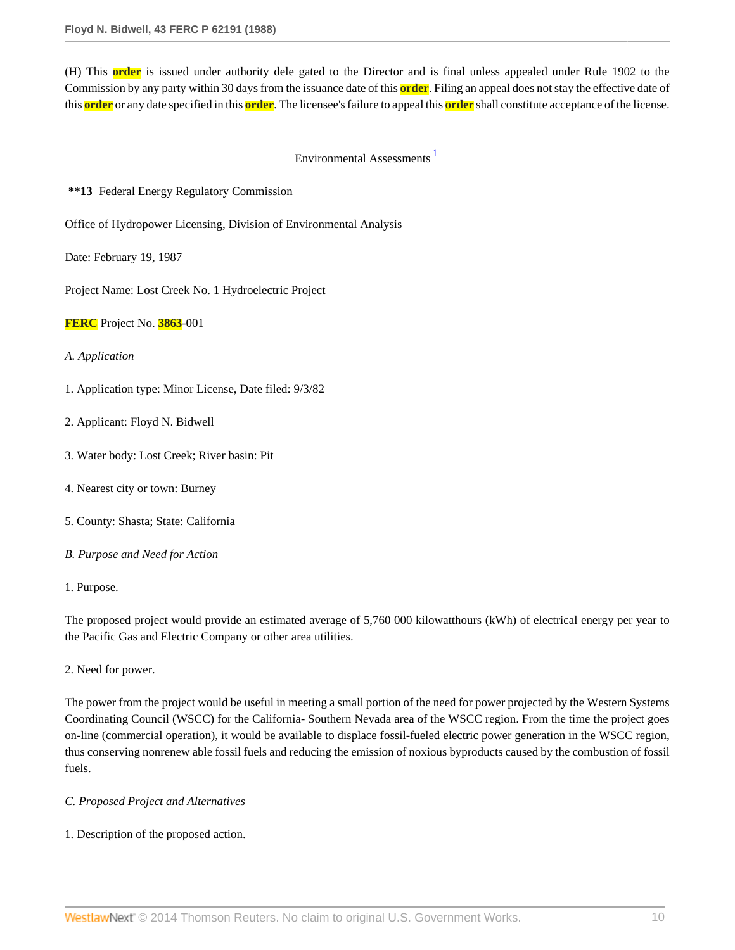(H) This **order** is issued under authority dele gated to the Director and is final unless appealed under Rule 1902 to the Commission by any party within 30 days from the issuance date of this **order**. Filing an appeal does not stay the effective date of this **order** or any date specified in this **order**. The licensee's failure to appeal this **order** shall constitute acceptance of the license.

## Environmental Assessments [1](#page-20-0)

**\*\*13** Federal Energy Regulatory Commission

Office of Hydropower Licensing, Division of Environmental Analysis

Date: February 19, 1987

Project Name: Lost Creek No. 1 Hydroelectric Project

**FERC** Project No. **3863**-001

### *A. Application*

- 1. Application type: Minor License, Date filed: 9/3/82
- 2. Applicant: Floyd N. Bidwell
- 3. Water body: Lost Creek; River basin: Pit
- 4. Nearest city or town: Burney
- 5. County: Shasta; State: California
- *B. Purpose and Need for Action*

#### 1. Purpose.

The proposed project would provide an estimated average of 5,760 000 kilowatthours (kWh) of electrical energy per year to the Pacific Gas and Electric Company or other area utilities.

2. Need for power.

The power from the project would be useful in meeting a small portion of the need for power projected by the Western Systems Coordinating Council (WSCC) for the California- Southern Nevada area of the WSCC region. From the time the project goes on-line (commercial operation), it would be available to displace fossil-fueled electric power generation in the WSCC region, thus conserving nonrenew able fossil fuels and reducing the emission of noxious byproducts caused by the combustion of fossil fuels.

## *C. Proposed Project and Alternatives*

#### 1. Description of the proposed action.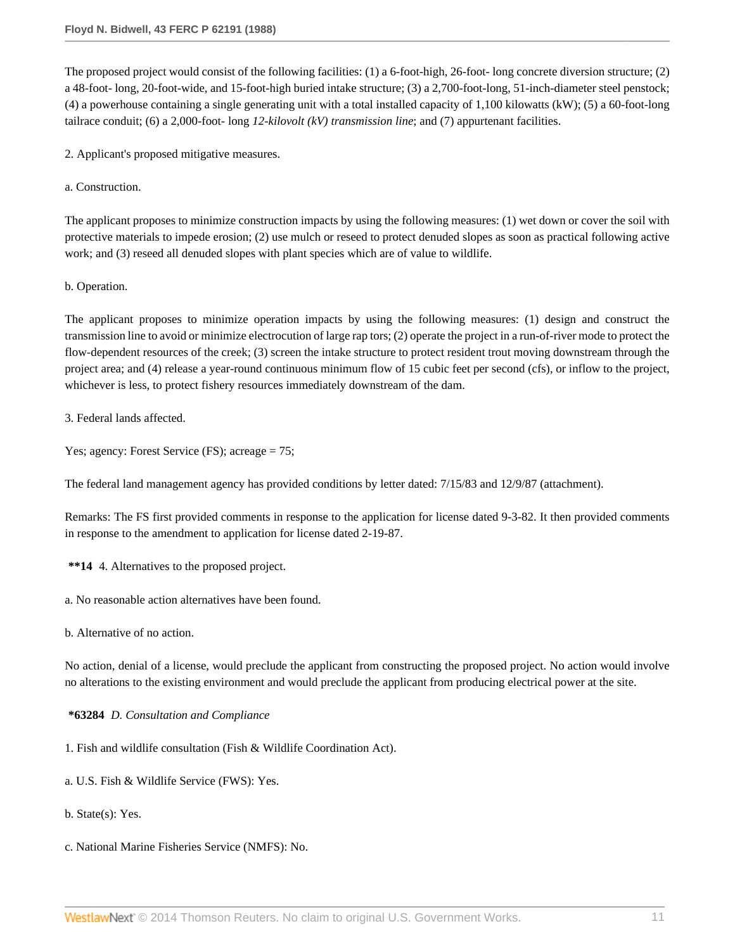The proposed project would consist of the following facilities: (1) a 6-foot-high, 26-foot- long concrete diversion structure; (2) a 48-foot- long, 20-foot-wide, and 15-foot-high buried intake structure; (3) a 2,700-foot-long, 51-inch-diameter steel penstock; (4) a powerhouse containing a single generating unit with a total installed capacity of 1,100 kilowatts (kW); (5) a 60-foot-long tailrace conduit; (6) a 2,000-foot- long *12-kilovolt (kV) transmission line*; and (7) appurtenant facilities.

2. Applicant's proposed mitigative measures.

a. Construction.

The applicant proposes to minimize construction impacts by using the following measures: (1) wet down or cover the soil with protective materials to impede erosion; (2) use mulch or reseed to protect denuded slopes as soon as practical following active work; and (3) reseed all denuded slopes with plant species which are of value to wildlife.

b. Operation.

The applicant proposes to minimize operation impacts by using the following measures: (1) design and construct the transmission line to avoid or minimize electrocution of large rap tors; (2) operate the project in a run-of-river mode to protect the flow-dependent resources of the creek; (3) screen the intake structure to protect resident trout moving downstream through the project area; and (4) release a year-round continuous minimum flow of 15 cubic feet per second (cfs), or inflow to the project, whichever is less, to protect fishery resources immediately downstream of the dam.

3. Federal lands affected.

Yes; agency: Forest Service (FS); acreage = 75;

The federal land management agency has provided conditions by letter dated: 7/15/83 and 12/9/87 (attachment).

Remarks: The FS first provided comments in response to the application for license dated 9-3-82. It then provided comments in response to the amendment to application for license dated 2-19-87.

**\*\*14** 4. Alternatives to the proposed project.

a. No reasonable action alternatives have been found.

b. Alternative of no action.

No action, denial of a license, would preclude the applicant from constructing the proposed project. No action would involve no alterations to the existing environment and would preclude the applicant from producing electrical power at the site.

**\*63284** *D. Consultation and Compliance*

1. Fish and wildlife consultation (Fish & Wildlife Coordination Act).

a. U.S. Fish & Wildlife Service (FWS): Yes.

b. State(s): Yes.

c. National Marine Fisheries Service (NMFS): No.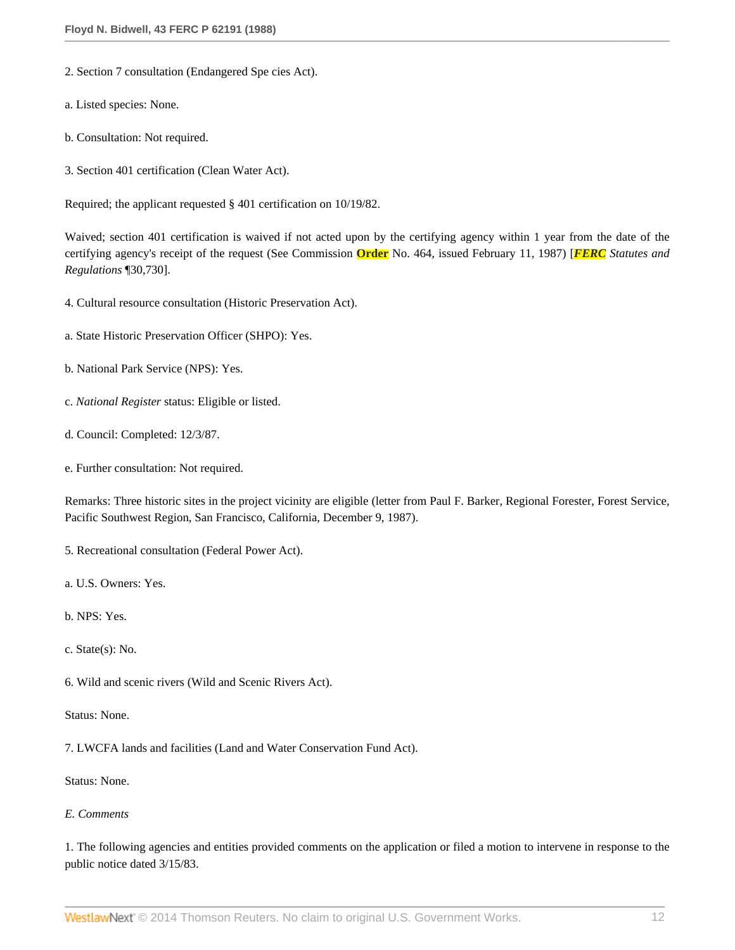- 2. Section 7 consultation (Endangered Spe cies Act).
- a. Listed species: None.
- b. Consultation: Not required.
- 3. Section 401 certification (Clean Water Act).

Required; the applicant requested § 401 certification on 10/19/82.

Waived; section 401 certification is waived if not acted upon by the certifying agency within 1 year from the date of the certifying agency's receipt of the request (See Commission **Order** No. 464, issued February 11, 1987) [*FERC Statutes and Regulations* ¶30,730].

- 4. Cultural resource consultation (Historic Preservation Act).
- a. State Historic Preservation Officer (SHPO): Yes.
- b. National Park Service (NPS): Yes.
- c. *National Register* status: Eligible or listed.
- d. Council: Completed: 12/3/87.
- e. Further consultation: Not required.

Remarks: Three historic sites in the project vicinity are eligible (letter from Paul F. Barker, Regional Forester, Forest Service, Pacific Southwest Region, San Francisco, California, December 9, 1987).

5. Recreational consultation (Federal Power Act).

- a. U.S. Owners: Yes.
- b. NPS: Yes.
- c. State(s): No.
- 6. Wild and scenic rivers (Wild and Scenic Rivers Act).
- Status: None.

7. LWCFA lands and facilities (Land and Water Conservation Fund Act).

Status: None.

## *E. Comments*

1. The following agencies and entities provided comments on the application or filed a motion to intervene in response to the public notice dated 3/15/83.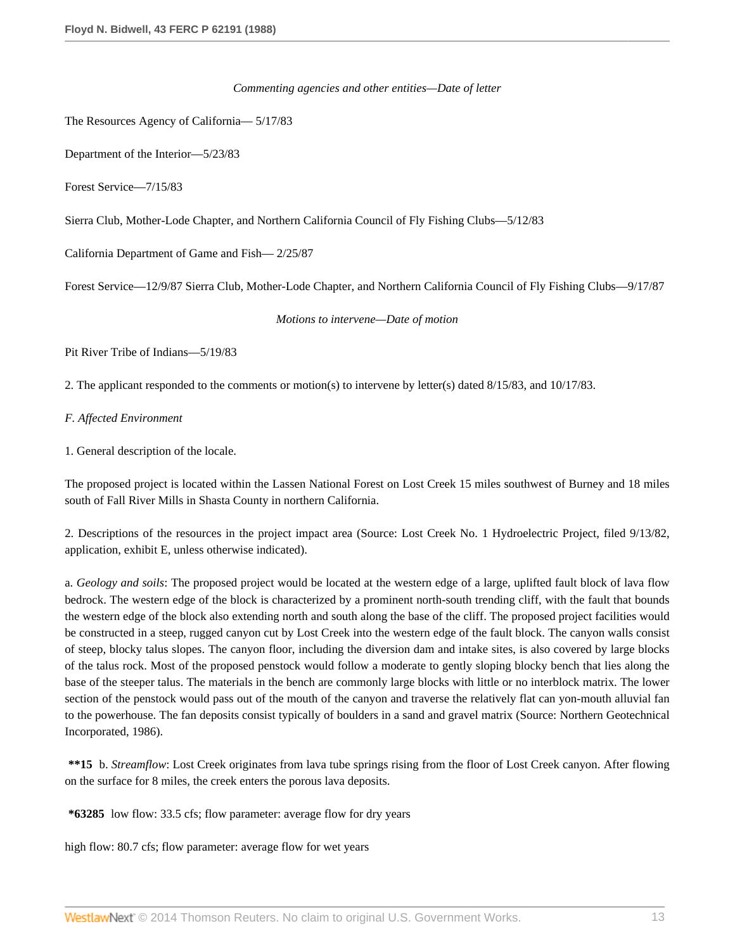#### *Commenting agencies and other entities—Date of letter*

The Resources Agency of California— 5/17/83

Department of the Interior—5/23/83

Forest Service—7/15/83

Sierra Club, Mother-Lode Chapter, and Northern California Council of Fly Fishing Clubs—5/12/83

California Department of Game and Fish— 2/25/87

Forest Service—12/9/87 Sierra Club, Mother-Lode Chapter, and Northern California Council of Fly Fishing Clubs—9/17/87

*Motions to intervene—Date of motion*

Pit River Tribe of Indians—5/19/83

2. The applicant responded to the comments or motion(s) to intervene by letter(s) dated 8/15/83, and 10/17/83.

*F. Affected Environment*

1. General description of the locale.

The proposed project is located within the Lassen National Forest on Lost Creek 15 miles southwest of Burney and 18 miles south of Fall River Mills in Shasta County in northern California.

2. Descriptions of the resources in the project impact area (Source: Lost Creek No. 1 Hydroelectric Project, filed 9/13/82, application, exhibit E, unless otherwise indicated).

a. *Geology and soils*: The proposed project would be located at the western edge of a large, uplifted fault block of lava flow bedrock. The western edge of the block is characterized by a prominent north-south trending cliff, with the fault that bounds the western edge of the block also extending north and south along the base of the cliff. The proposed project facilities would be constructed in a steep, rugged canyon cut by Lost Creek into the western edge of the fault block. The canyon walls consist of steep, blocky talus slopes. The canyon floor, including the diversion dam and intake sites, is also covered by large blocks of the talus rock. Most of the proposed penstock would follow a moderate to gently sloping blocky bench that lies along the base of the steeper talus. The materials in the bench are commonly large blocks with little or no interblock matrix. The lower section of the penstock would pass out of the mouth of the canyon and traverse the relatively flat can yon-mouth alluvial fan to the powerhouse. The fan deposits consist typically of boulders in a sand and gravel matrix (Source: Northern Geotechnical Incorporated, 1986).

**\*\*15** b. *Streamflow*: Lost Creek originates from lava tube springs rising from the floor of Lost Creek canyon. After flowing on the surface for 8 miles, the creek enters the porous lava deposits.

**\*63285** low flow: 33.5 cfs; flow parameter: average flow for dry years

high flow: 80.7 cfs; flow parameter: average flow for wet years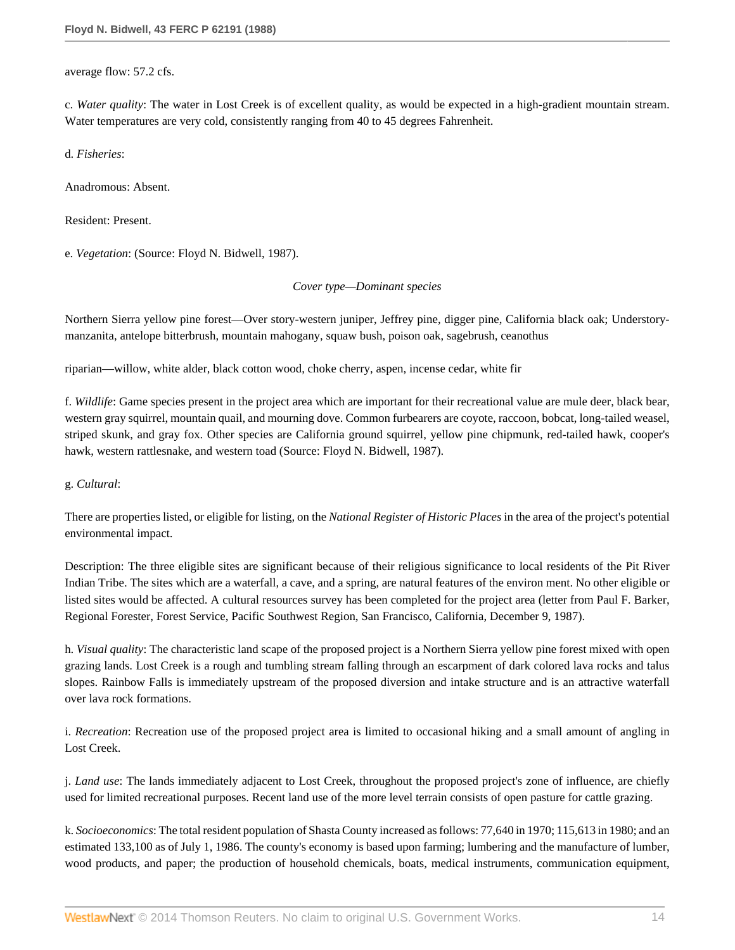average flow: 57.2 cfs.

c. *Water quality*: The water in Lost Creek is of excellent quality, as would be expected in a high-gradient mountain stream. Water temperatures are very cold, consistently ranging from 40 to 45 degrees Fahrenheit.

d. *Fisheries*:

Anadromous: Absent.

Resident: Present.

e. *Vegetation*: (Source: Floyd N. Bidwell, 1987).

*Cover type—Dominant species*

Northern Sierra yellow pine forest—Over story-western juniper, Jeffrey pine, digger pine, California black oak; Understorymanzanita, antelope bitterbrush, mountain mahogany, squaw bush, poison oak, sagebrush, ceanothus

riparian—willow, white alder, black cotton wood, choke cherry, aspen, incense cedar, white fir

f. *Wildlife*: Game species present in the project area which are important for their recreational value are mule deer, black bear, western gray squirrel, mountain quail, and mourning dove. Common furbearers are coyote, raccoon, bobcat, long-tailed weasel, striped skunk, and gray fox. Other species are California ground squirrel, yellow pine chipmunk, red-tailed hawk, cooper's hawk, western rattlesnake, and western toad (Source: Floyd N. Bidwell, 1987).

#### g. *Cultural*:

There are properties listed, or eligible for listing, on the *National Register of Historic Places* in the area of the project's potential environmental impact.

Description: The three eligible sites are significant because of their religious significance to local residents of the Pit River Indian Tribe. The sites which are a waterfall, a cave, and a spring, are natural features of the environ ment. No other eligible or listed sites would be affected. A cultural resources survey has been completed for the project area (letter from Paul F. Barker, Regional Forester, Forest Service, Pacific Southwest Region, San Francisco, California, December 9, 1987).

h. *Visual quality*: The characteristic land scape of the proposed project is a Northern Sierra yellow pine forest mixed with open grazing lands. Lost Creek is a rough and tumbling stream falling through an escarpment of dark colored lava rocks and talus slopes. Rainbow Falls is immediately upstream of the proposed diversion and intake structure and is an attractive waterfall over lava rock formations.

i. *Recreation*: Recreation use of the proposed project area is limited to occasional hiking and a small amount of angling in Lost Creek.

j. *Land use*: The lands immediately adjacent to Lost Creek, throughout the proposed project's zone of influence, are chiefly used for limited recreational purposes. Recent land use of the more level terrain consists of open pasture for cattle grazing.

k. *Socioeconomics*: The total resident population of Shasta County increased as follows: 77,640 in 1970; 115,613 in 1980; and an estimated 133,100 as of July 1, 1986. The county's economy is based upon farming; lumbering and the manufacture of lumber, wood products, and paper; the production of household chemicals, boats, medical instruments, communication equipment,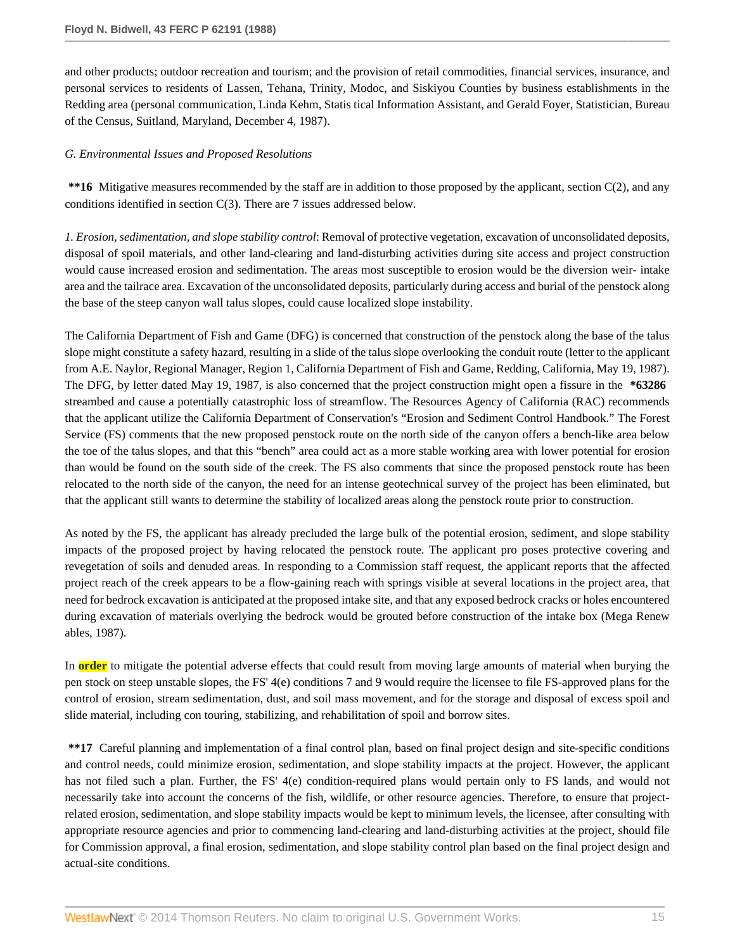and other products; outdoor recreation and tourism; and the provision of retail commodities, financial services, insurance, and personal services to residents of Lassen, Tehana, Trinity, Modoc, and Siskiyou Counties by business establishments in the Redding area (personal communication, Linda Kehm, Statis tical Information Assistant, and Gerald Foyer, Statistician, Bureau of the Census, Suitland, Maryland, December 4, 1987).

## *G. Environmental Issues and Proposed Resolutions*

**\*\*16** Mitigative measures recommended by the staff are in addition to those proposed by the applicant, section C(2), and any conditions identified in section C(3). There are 7 issues addressed below.

*1. Erosion, sedimentation, and slope stability control*: Removal of protective vegetation, excavation of unconsolidated deposits, disposal of spoil materials, and other land-clearing and land-disturbing activities during site access and project construction would cause increased erosion and sedimentation. The areas most susceptible to erosion would be the diversion weir- intake area and the tailrace area. Excavation of the unconsolidated deposits, particularly during access and burial of the penstock along the base of the steep canyon wall talus slopes, could cause localized slope instability.

The California Department of Fish and Game (DFG) is concerned that construction of the penstock along the base of the talus slope might constitute a safety hazard, resulting in a slide of the talus slope overlooking the conduit route (letter to the applicant from A.E. Naylor, Regional Manager, Region 1, California Department of Fish and Game, Redding, California, May 19, 1987). The DFG, by letter dated May 19, 1987, is also concerned that the project construction might open a fissure in the **\*63286** streambed and cause a potentially catastrophic loss of streamflow. The Resources Agency of California (RAC) recommends that the applicant utilize the California Department of Conservation's "Erosion and Sediment Control Handbook." The Forest Service (FS) comments that the new proposed penstock route on the north side of the canyon offers a bench-like area below the toe of the talus slopes, and that this "bench" area could act as a more stable working area with lower potential for erosion than would be found on the south side of the creek. The FS also comments that since the proposed penstock route has been relocated to the north side of the canyon, the need for an intense geotechnical survey of the project has been eliminated, but that the applicant still wants to determine the stability of localized areas along the penstock route prior to construction.

As noted by the FS, the applicant has already precluded the large bulk of the potential erosion, sediment, and slope stability impacts of the proposed project by having relocated the penstock route. The applicant pro poses protective covering and revegetation of soils and denuded areas. In responding to a Commission staff request, the applicant reports that the affected project reach of the creek appears to be a flow-gaining reach with springs visible at several locations in the project area, that need for bedrock excavation is anticipated at the proposed intake site, and that any exposed bedrock cracks or holes encountered during excavation of materials overlying the bedrock would be grouted before construction of the intake box (Mega Renew ables, 1987).

In **order** to mitigate the potential adverse effects that could result from moving large amounts of material when burying the pen stock on steep unstable slopes, the FS' 4(e) conditions 7 and 9 would require the licensee to file FS-approved plans for the control of erosion, stream sedimentation, dust, and soil mass movement, and for the storage and disposal of excess spoil and slide material, including con touring, stabilizing, and rehabilitation of spoil and borrow sites.

**\*\*17** Careful planning and implementation of a final control plan, based on final project design and site-specific conditions and control needs, could minimize erosion, sedimentation, and slope stability impacts at the project. However, the applicant has not filed such a plan. Further, the FS' 4(e) condition-required plans would pertain only to FS lands, and would not necessarily take into account the concerns of the fish, wildlife, or other resource agencies. Therefore, to ensure that projectrelated erosion, sedimentation, and slope stability impacts would be kept to minimum levels, the licensee, after consulting with appropriate resource agencies and prior to commencing land-clearing and land-disturbing activities at the project, should file for Commission approval, a final erosion, sedimentation, and slope stability control plan based on the final project design and actual-site conditions.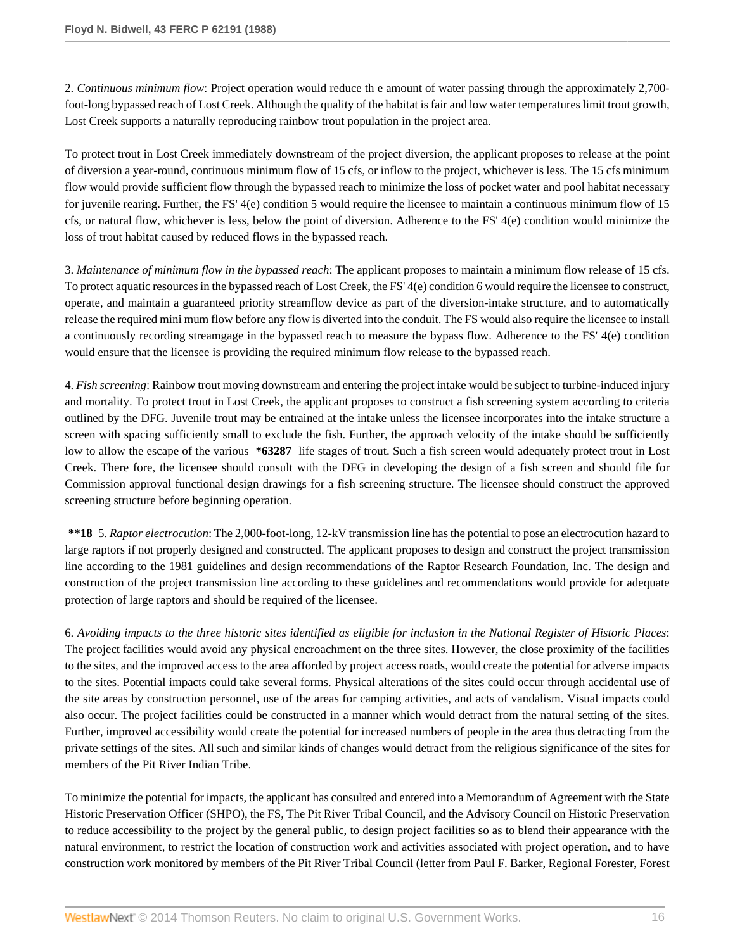2. *Continuous minimum flow*: Project operation would reduce th e amount of water passing through the approximately 2,700 foot-long bypassed reach of Lost Creek. Although the quality of the habitat is fair and low water temperatures limit trout growth, Lost Creek supports a naturally reproducing rainbow trout population in the project area.

To protect trout in Lost Creek immediately downstream of the project diversion, the applicant proposes to release at the point of diversion a year-round, continuous minimum flow of 15 cfs, or inflow to the project, whichever is less. The 15 cfs minimum flow would provide sufficient flow through the bypassed reach to minimize the loss of pocket water and pool habitat necessary for juvenile rearing. Further, the FS' 4(e) condition 5 would require the licensee to maintain a continuous minimum flow of 15 cfs, or natural flow, whichever is less, below the point of diversion. Adherence to the FS' 4(e) condition would minimize the loss of trout habitat caused by reduced flows in the bypassed reach.

3. *Maintenance of minimum flow in the bypassed reach*: The applicant proposes to maintain a minimum flow release of 15 cfs. To protect aquatic resources in the bypassed reach of Lost Creek, the FS' 4(e) condition 6 would require the licensee to construct, operate, and maintain a guaranteed priority streamflow device as part of the diversion-intake structure, and to automatically release the required mini mum flow before any flow is diverted into the conduit. The FS would also require the licensee to install a continuously recording streamgage in the bypassed reach to measure the bypass flow. Adherence to the FS' 4(e) condition would ensure that the licensee is providing the required minimum flow release to the bypassed reach.

4. *Fish screening*: Rainbow trout moving downstream and entering the project intake would be subject to turbine-induced injury and mortality. To protect trout in Lost Creek, the applicant proposes to construct a fish screening system according to criteria outlined by the DFG. Juvenile trout may be entrained at the intake unless the licensee incorporates into the intake structure a screen with spacing sufficiently small to exclude the fish. Further, the approach velocity of the intake should be sufficiently low to allow the escape of the various **\*63287** life stages of trout. Such a fish screen would adequately protect trout in Lost Creek. There fore, the licensee should consult with the DFG in developing the design of a fish screen and should file for Commission approval functional design drawings for a fish screening structure. The licensee should construct the approved screening structure before beginning operation.

**\*\*18** 5. *Raptor electrocution*: The 2,000-foot-long, 12-kV transmission line has the potential to pose an electrocution hazard to large raptors if not properly designed and constructed. The applicant proposes to design and construct the project transmission line according to the 1981 guidelines and design recommendations of the Raptor Research Foundation, Inc. The design and construction of the project transmission line according to these guidelines and recommendations would provide for adequate protection of large raptors and should be required of the licensee.

6. *Avoiding impacts to the three historic sites identified as eligible for inclusion in the National Register of Historic Places*: The project facilities would avoid any physical encroachment on the three sites. However, the close proximity of the facilities to the sites, and the improved access to the area afforded by project access roads, would create the potential for adverse impacts to the sites. Potential impacts could take several forms. Physical alterations of the sites could occur through accidental use of the site areas by construction personnel, use of the areas for camping activities, and acts of vandalism. Visual impacts could also occur. The project facilities could be constructed in a manner which would detract from the natural setting of the sites. Further, improved accessibility would create the potential for increased numbers of people in the area thus detracting from the private settings of the sites. All such and similar kinds of changes would detract from the religious significance of the sites for members of the Pit River Indian Tribe.

To minimize the potential for impacts, the applicant has consulted and entered into a Memorandum of Agreement with the State Historic Preservation Officer (SHPO), the FS, The Pit River Tribal Council, and the Advisory Council on Historic Preservation to reduce accessibility to the project by the general public, to design project facilities so as to blend their appearance with the natural environment, to restrict the location of construction work and activities associated with project operation, and to have construction work monitored by members of the Pit River Tribal Council (letter from Paul F. Barker, Regional Forester, Forest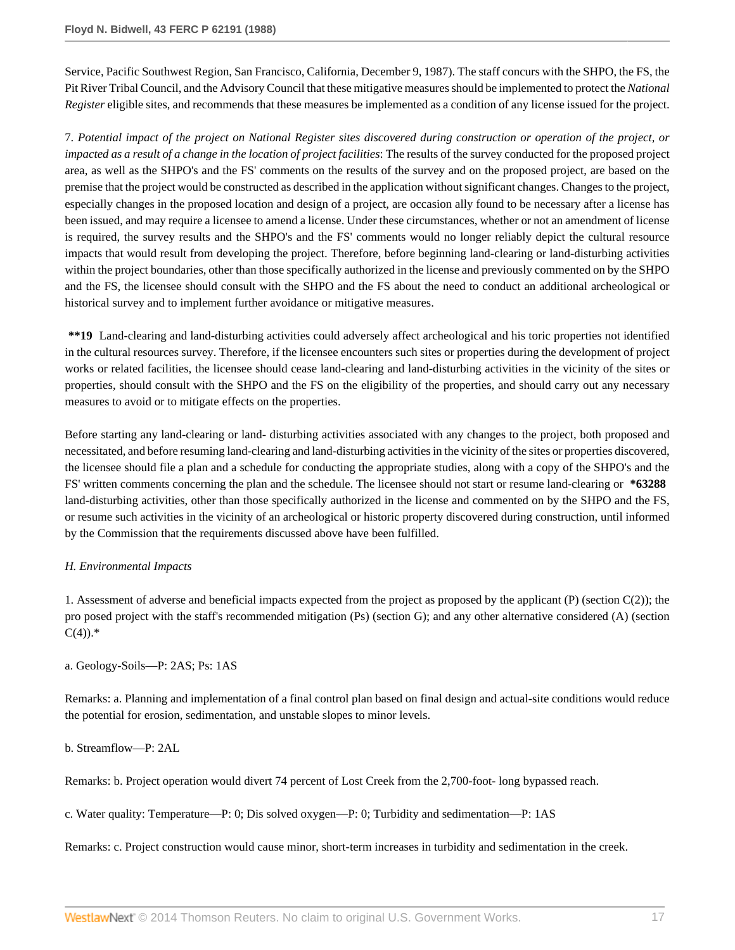Service, Pacific Southwest Region, San Francisco, California, December 9, 1987). The staff concurs with the SHPO, the FS, the Pit River Tribal Council, and the Advisory Council that these mitigative measures should be implemented to protect the *National Register* eligible sites, and recommends that these measures be implemented as a condition of any license issued for the project.

7. *Potential impact of the project on National Register sites discovered during construction or operation of the project, or impacted as a result of a change in the location of project facilities*: The results of the survey conducted for the proposed project area, as well as the SHPO's and the FS' comments on the results of the survey and on the proposed project, are based on the premise that the project would be constructed as described in the application without significant changes. Changes to the project, especially changes in the proposed location and design of a project, are occasion ally found to be necessary after a license has been issued, and may require a licensee to amend a license. Under these circumstances, whether or not an amendment of license is required, the survey results and the SHPO's and the FS' comments would no longer reliably depict the cultural resource impacts that would result from developing the project. Therefore, before beginning land-clearing or land-disturbing activities within the project boundaries, other than those specifically authorized in the license and previously commented on by the SHPO and the FS, the licensee should consult with the SHPO and the FS about the need to conduct an additional archeological or historical survey and to implement further avoidance or mitigative measures.

**\*\*19** Land-clearing and land-disturbing activities could adversely affect archeological and his toric properties not identified in the cultural resources survey. Therefore, if the licensee encounters such sites or properties during the development of project works or related facilities, the licensee should cease land-clearing and land-disturbing activities in the vicinity of the sites or properties, should consult with the SHPO and the FS on the eligibility of the properties, and should carry out any necessary measures to avoid or to mitigate effects on the properties.

Before starting any land-clearing or land- disturbing activities associated with any changes to the project, both proposed and necessitated, and before resuming land-clearing and land-disturbing activities in the vicinity of the sites or properties discovered, the licensee should file a plan and a schedule for conducting the appropriate studies, along with a copy of the SHPO's and the FS' written comments concerning the plan and the schedule. The licensee should not start or resume land-clearing or **\*63288** land-disturbing activities, other than those specifically authorized in the license and commented on by the SHPO and the FS, or resume such activities in the vicinity of an archeological or historic property discovered during construction, until informed by the Commission that the requirements discussed above have been fulfilled.

## *H. Environmental Impacts*

1. Assessment of adverse and beneficial impacts expected from the project as proposed by the applicant (P) (section C(2)); the pro posed project with the staff's recommended mitigation (Ps) (section G); and any other alternative considered (A) (section  $C(4)$ .\*

a. Geology-Soils—P: 2AS; Ps: 1AS

Remarks: a. Planning and implementation of a final control plan based on final design and actual-site conditions would reduce the potential for erosion, sedimentation, and unstable slopes to minor levels.

b. Streamflow—P: 2AL

Remarks: b. Project operation would divert 74 percent of Lost Creek from the 2,700-foot- long bypassed reach.

c. Water quality: Temperature—P: 0; Dis solved oxygen—P: 0; Turbidity and sedimentation—P: 1AS

Remarks: c. Project construction would cause minor, short-term increases in turbidity and sedimentation in the creek.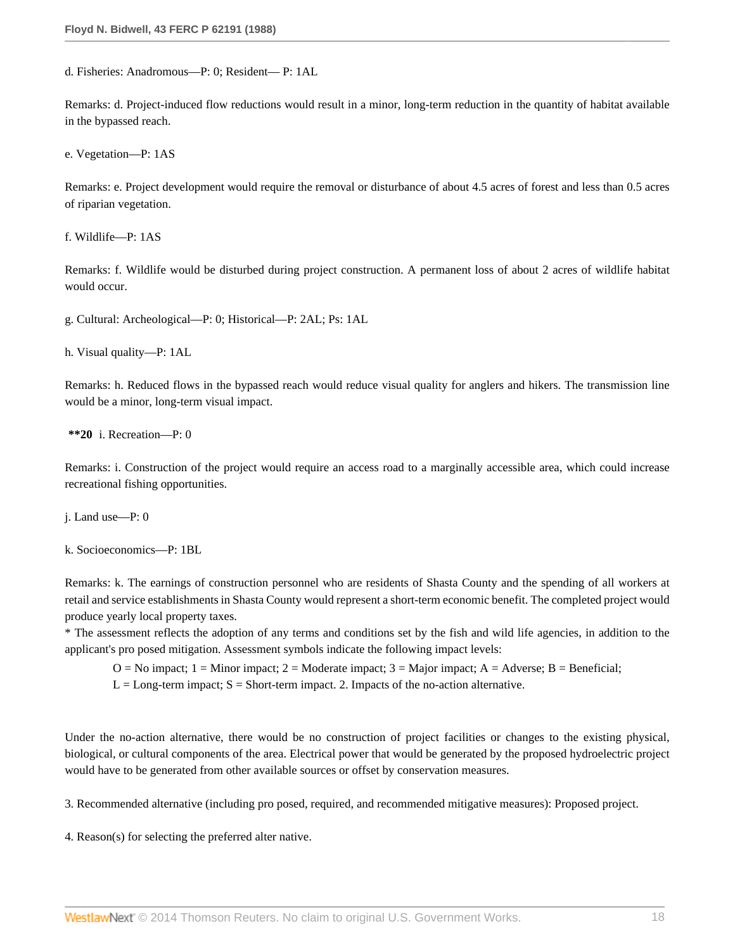d. Fisheries: Anadromous—P: 0; Resident— P: 1AL

Remarks: d. Project-induced flow reductions would result in a minor, long-term reduction in the quantity of habitat available in the bypassed reach.

e. Vegetation—P: 1AS

Remarks: e. Project development would require the removal or disturbance of about 4.5 acres of forest and less than 0.5 acres of riparian vegetation.

f. Wildlife—P: 1AS

Remarks: f. Wildlife would be disturbed during project construction. A permanent loss of about 2 acres of wildlife habitat would occur.

g. Cultural: Archeological—P: 0; Historical—P: 2AL; Ps: 1AL

h. Visual quality—P: 1AL

Remarks: h. Reduced flows in the bypassed reach would reduce visual quality for anglers and hikers. The transmission line would be a minor, long-term visual impact.

**\*\*20** i. Recreation—P: 0

Remarks: i. Construction of the project would require an access road to a marginally accessible area, which could increase recreational fishing opportunities.

j. Land use—P: 0

k. Socioeconomics—P: 1BL

Remarks: k. The earnings of construction personnel who are residents of Shasta County and the spending of all workers at retail and service establishments in Shasta County would represent a short-term economic benefit. The completed project would produce yearly local property taxes.

\* The assessment reflects the adoption of any terms and conditions set by the fish and wild life agencies, in addition to the applicant's pro posed mitigation. Assessment symbols indicate the following impact levels:

 $O = No$  impact;  $1 = Minor$  impact;  $2 = Moderate$  impact;  $3 = Major$  impact;  $A = Adverse$ ;  $B = Benedict$ ;

 $L = Long-term impact$ ;  $S = Short-term impact$ . 2. Impacts of the no-action alternative.

Under the no-action alternative, there would be no construction of project facilities or changes to the existing physical, biological, or cultural components of the area. Electrical power that would be generated by the proposed hydroelectric project would have to be generated from other available sources or offset by conservation measures.

3. Recommended alternative (including pro posed, required, and recommended mitigative measures): Proposed project.

4. Reason(s) for selecting the preferred alter native.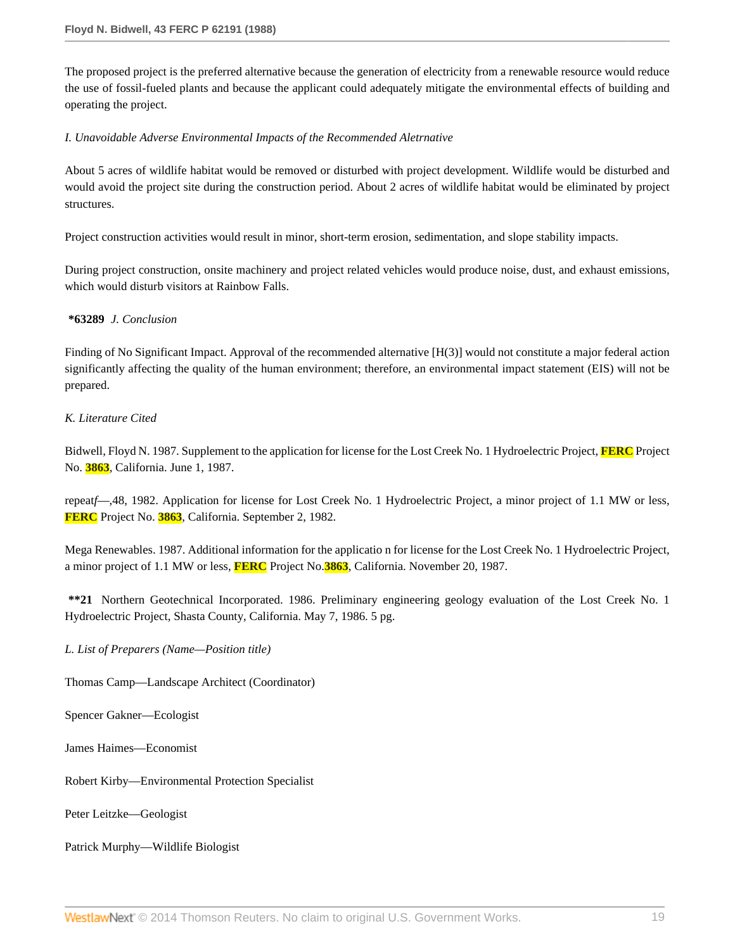The proposed project is the preferred alternative because the generation of electricity from a renewable resource would reduce the use of fossil-fueled plants and because the applicant could adequately mitigate the environmental effects of building and operating the project.

## *I. Unavoidable Adverse Environmental Impacts of the Recommended Aletrnative*

About 5 acres of wildlife habitat would be removed or disturbed with project development. Wildlife would be disturbed and would avoid the project site during the construction period. About 2 acres of wildlife habitat would be eliminated by project structures.

Project construction activities would result in minor, short-term erosion, sedimentation, and slope stability impacts.

During project construction, onsite machinery and project related vehicles would produce noise, dust, and exhaust emissions, which would disturb visitors at Rainbow Falls.

## **\*63289** *J. Conclusion*

Finding of No Significant Impact. Approval of the recommended alternative [H(3)] would not constitute a major federal action significantly affecting the quality of the human environment; therefore, an environmental impact statement (EIS) will not be prepared.

## *K. Literature Cited*

Bidwell, Floyd N. 1987. Supplement to the application for license for the Lost Creek No. 1 Hydroelectric Project, **FERC** Project No. **3863**, California. June 1, 1987.

repeat*f*—,48, 1982. Application for license for Lost Creek No. 1 Hydroelectric Project, a minor project of 1.1 MW or less, **FERC** Project No. **3863**, California. September 2, 1982.

Mega Renewables. 1987. Additional information for the applicatio n for license for the Lost Creek No. 1 Hydroelectric Project, a minor project of 1.1 MW or less, **FERC** Project No.**3863**, California. November 20, 1987.

**\*\*21** Northern Geotechnical Incorporated. 1986. Preliminary engineering geology evaluation of the Lost Creek No. 1 Hydroelectric Project, Shasta County, California. May 7, 1986. 5 pg.

## *L. List of Preparers (Name—Position title)*

Thomas Camp—Landscape Architect (Coordinator)

Spencer Gakner—Ecologist

James Haimes—Economist

Robert Kirby—Environmental Protection Specialist

Peter Leitzke—Geologist

Patrick Murphy—Wildlife Biologist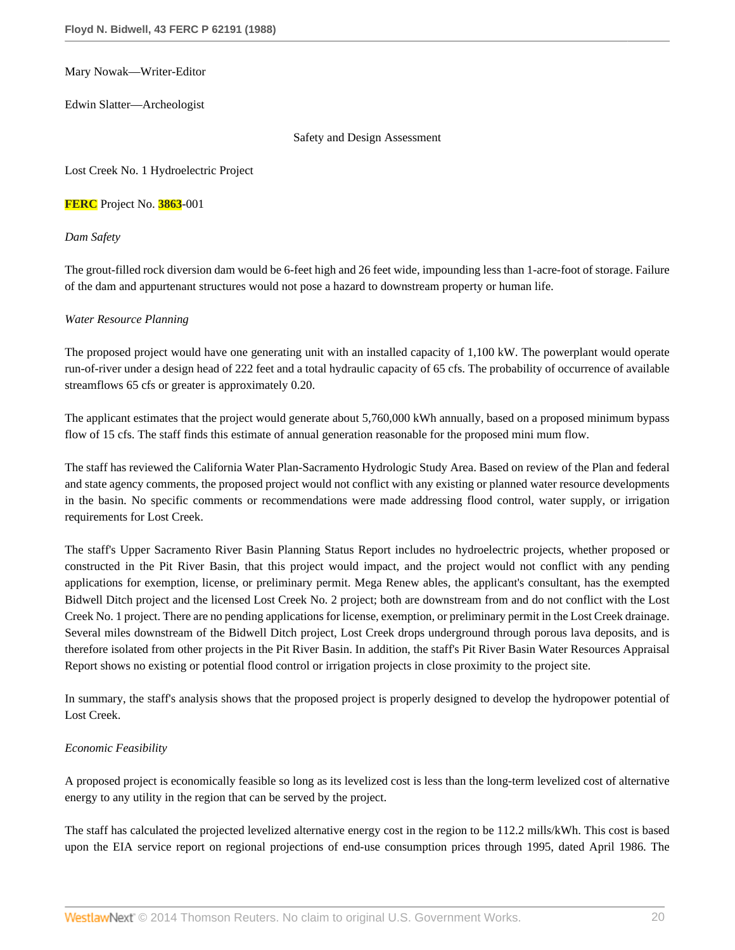Mary Nowak—Writer-Editor

Edwin Slatter—Archeologist

Safety and Design Assessment

Lost Creek No. 1 Hydroelectric Project

**FERC** Project No. **3863**-001

*Dam Safety*

The grout-filled rock diversion dam would be 6-feet high and 26 feet wide, impounding less than 1-acre-foot of storage. Failure of the dam and appurtenant structures would not pose a hazard to downstream property or human life.

### *Water Resource Planning*

The proposed project would have one generating unit with an installed capacity of 1,100 kW. The powerplant would operate run-of-river under a design head of 222 feet and a total hydraulic capacity of 65 cfs. The probability of occurrence of available streamflows 65 cfs or greater is approximately 0.20.

The applicant estimates that the project would generate about 5,760,000 kWh annually, based on a proposed minimum bypass flow of 15 cfs. The staff finds this estimate of annual generation reasonable for the proposed mini mum flow.

The staff has reviewed the California Water Plan-Sacramento Hydrologic Study Area. Based on review of the Plan and federal and state agency comments, the proposed project would not conflict with any existing or planned water resource developments in the basin. No specific comments or recommendations were made addressing flood control, water supply, or irrigation requirements for Lost Creek.

The staff's Upper Sacramento River Basin Planning Status Report includes no hydroelectric projects, whether proposed or constructed in the Pit River Basin, that this project would impact, and the project would not conflict with any pending applications for exemption, license, or preliminary permit. Mega Renew ables, the applicant's consultant, has the exempted Bidwell Ditch project and the licensed Lost Creek No. 2 project; both are downstream from and do not conflict with the Lost Creek No. 1 project. There are no pending applications for license, exemption, or preliminary permit in the Lost Creek drainage. Several miles downstream of the Bidwell Ditch project, Lost Creek drops underground through porous lava deposits, and is therefore isolated from other projects in the Pit River Basin. In addition, the staff's Pit River Basin Water Resources Appraisal Report shows no existing or potential flood control or irrigation projects in close proximity to the project site.

In summary, the staff's analysis shows that the proposed project is properly designed to develop the hydropower potential of Lost Creek.

## *Economic Feasibility*

A proposed project is economically feasible so long as its levelized cost is less than the long-term levelized cost of alternative energy to any utility in the region that can be served by the project.

The staff has calculated the projected levelized alternative energy cost in the region to be 112.2 mills/kWh. This cost is based upon the EIA service report on regional projections of end-use consumption prices through 1995, dated April 1986. The